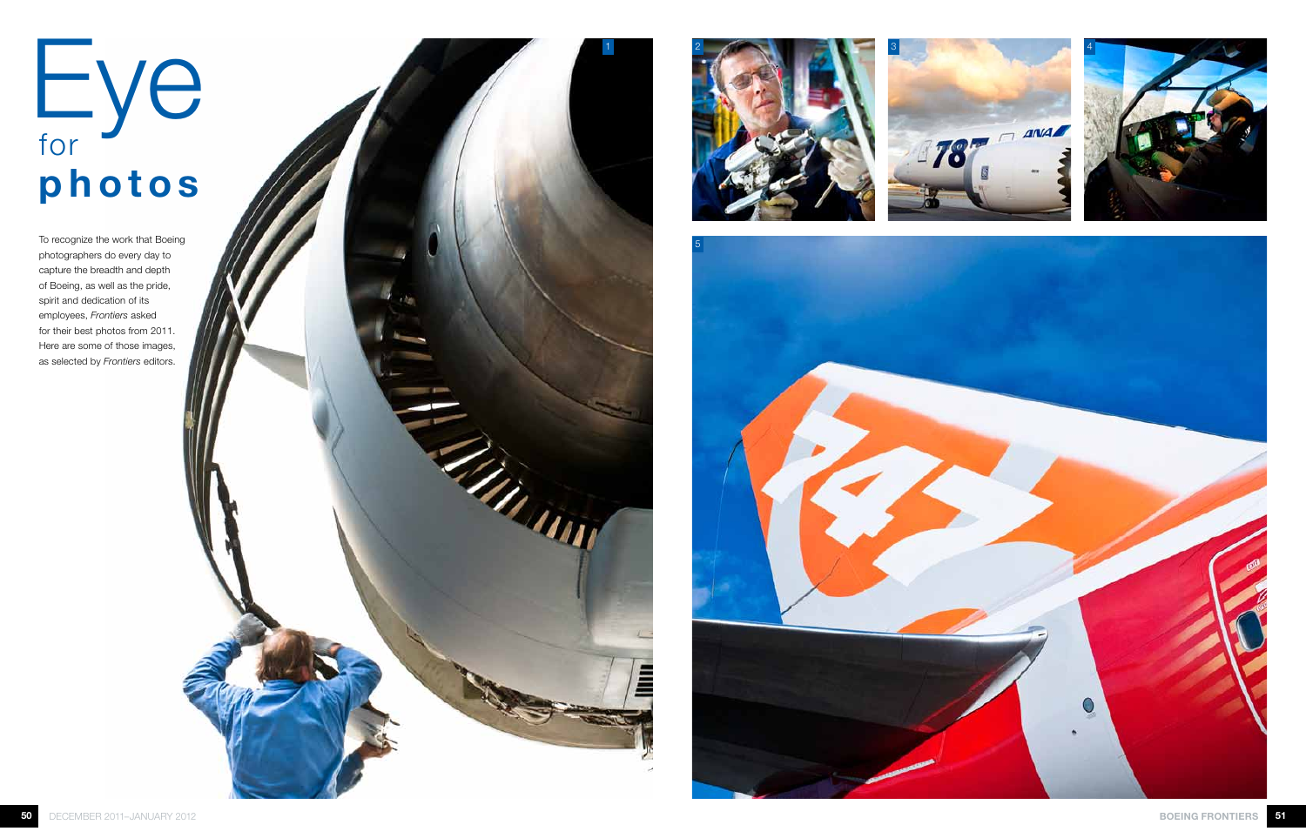## Eye for photos

To recognize the work that Boeing photographers do every day to capture the breadth and depth of Boeing, as well as the pride, spirit and dedication of its employees, *Frontiers* asked for their best photos from 2011. Here are some of those images, as selected by *Frontiers* editors.









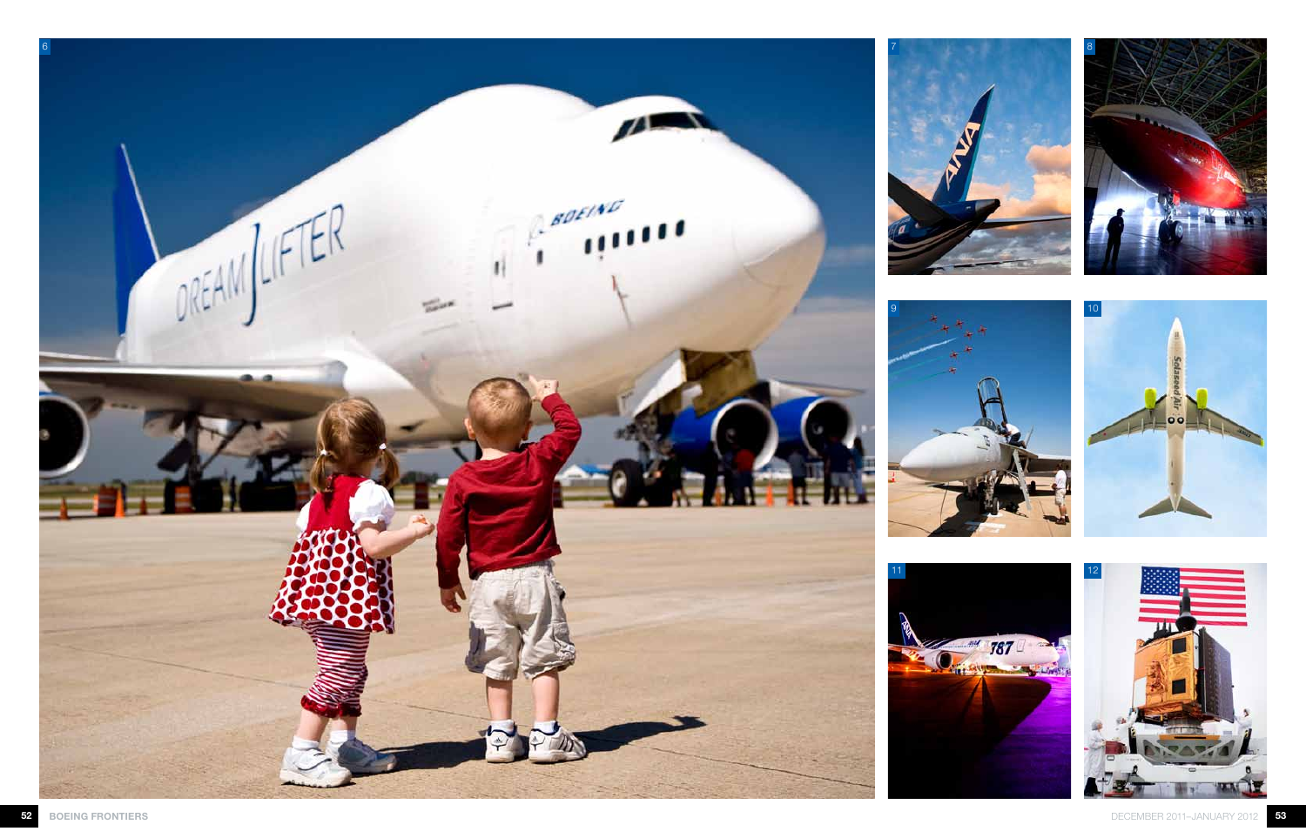